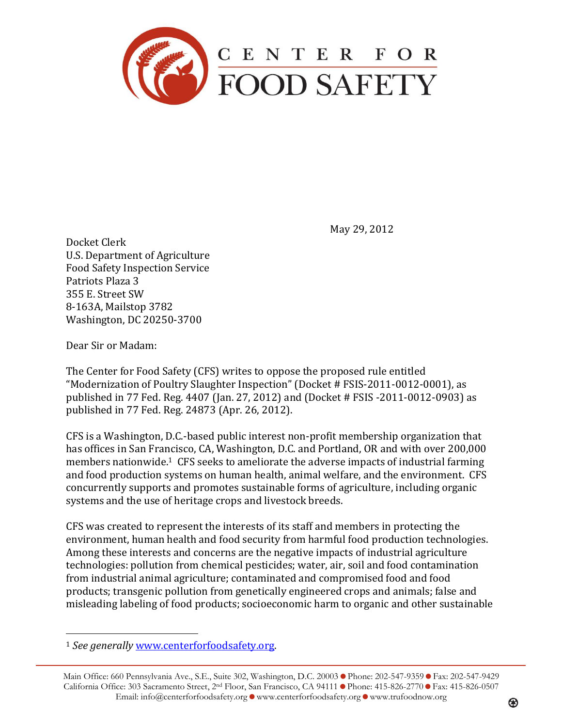

May 29, 2012

Docket Clerk U.S. Department of Agriculture Food Safety Inspection Service Patriots Plaza 3 355 E. Street SW 8-163A, Mailstop 3782 Washington, DC 20250-3700

Dear Sir or Madam:

 $\overline{a}$ 

The Center for Food Safety (CFS) writes to oppose the proposed rule entitled "Modernization of Poultry Slaughter Inspection" (Docket # FSIS-2011-0012-0001), as published in 77 Fed. Reg. 4407 (Jan. 27, 2012) and (Docket # FSIS -2011-0012-0903) as published in 77 Fed. Reg. 24873 (Apr. 26, 2012).

CFS is a Washington, D.C.-based public interest non-profit membership organization that has offices in San Francisco, CA, Washington, D.C. and Portland, OR and with over 200,000 members nationwide.1 CFS seeks to ameliorate the adverse impacts of industrial farming and food production systems on human health, animal welfare, and the environment. CFS concurrently supports and promotes sustainable forms of agriculture, including organic systems and the use of heritage crops and livestock breeds.

CFS was created to represent the interests of its staff and members in protecting the environment, human health and food security from harmful food production technologies. Among these interests and concerns are the negative impacts of industrial agriculture technologies: pollution from chemical pesticides; water, air, soil and food contamination from industrial animal agriculture; contaminated and compromised food and food products; transgenic pollution from genetically engineered crops and animals; false and misleading labeling of food products; socioeconomic harm to organic and other sustainable

<sup>1</sup> *See generally* [www.centerforfoodsafety.org.](http://www.centerforfoodsafety.org/)

Main Office: 660 Pennsylvania Ave., S.E., Suite 302, Washington, D.C. 20003 • Phone: 202-547-9359 • Fax: 202-547-9429 California Office: 303 Sacramento Street, 2<sup>nd</sup> Floor, San Francisco, CA 94111 Phone: 415-826-2770 PFax: 415-826-0507 Email: info@centerforfoodsafety.org  $\bullet$  www.centerforfoodsafety.org  $\bullet$  www.trufoodnow.org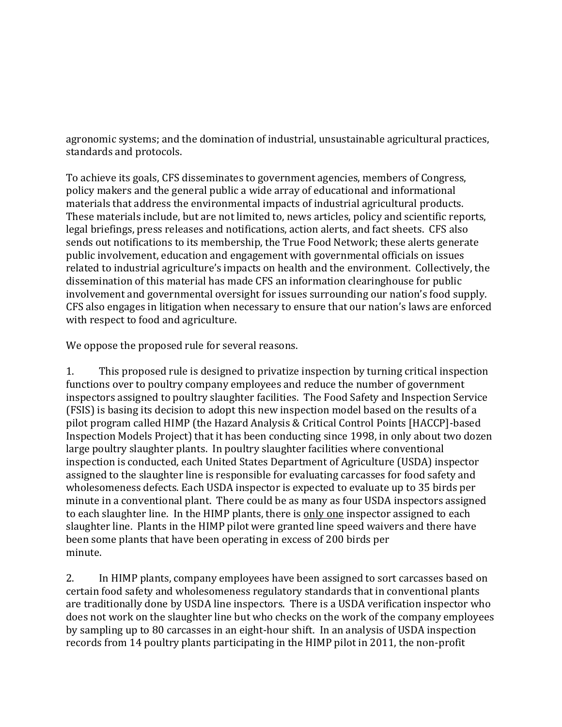agronomic systems; and the domination of industrial, unsustainable agricultural practices, standards and protocols.

To achieve its goals, CFS disseminates to government agencies, members of Congress, policy makers and the general public a wide array of educational and informational materials that address the environmental impacts of industrial agricultural products. These materials include, but are not limited to, news articles, policy and scientific reports, legal briefings, press releases and notifications, action alerts, and fact sheets. CFS also sends out notifications to its membership, the True Food Network; these alerts generate public involvement, education and engagement with governmental officials on issues related to industrial agriculture's impacts on health and the environment. Collectively, the dissemination of this material has made CFS an information clearinghouse for public involvement and governmental oversight for issues surrounding our nation's food supply. CFS also engages in litigation when necessary to ensure that our nation's laws are enforced with respect to food and agriculture.

We oppose the proposed rule for several reasons.

1. This proposed rule is designed to privatize inspection by turning critical inspection functions over to poultry company employees and reduce the number of government inspectors assigned to poultry slaughter facilities. The Food Safety and Inspection Service (FSIS) is basing its decision to adopt this new inspection model based on the results of a pilot program called HIMP (the Hazard Analysis & Critical Control Points [HACCP]-based Inspection Models Project) that it has been conducting since 1998, in only about two dozen large poultry slaughter plants. In poultry slaughter facilities where conventional inspection is conducted, each United States Department of Agriculture (USDA) inspector assigned to the slaughter line is responsible for evaluating carcasses for food safety and wholesomeness defects. Each USDA inspector is expected to evaluate up to 35 birds per minute in a conventional plant. There could be as many as four USDA inspectors assigned to each slaughter line. In the HIMP plants, there is only one inspector assigned to each slaughter line. Plants in the HIMP pilot were granted line speed waivers and there have been some plants that have been operating in excess of 200 birds per minute.

2. In HIMP plants, company employees have been assigned to sort carcasses based on certain food safety and wholesomeness regulatory standards that in conventional plants are traditionally done by USDA line inspectors. There is a USDA verification inspector who does not work on the slaughter line but who checks on the work of the company employees by sampling up to 80 carcasses in an eight-hour shift. In an analysis of USDA inspection records from 14 poultry plants participating in the HIMP pilot in 2011, the non-profit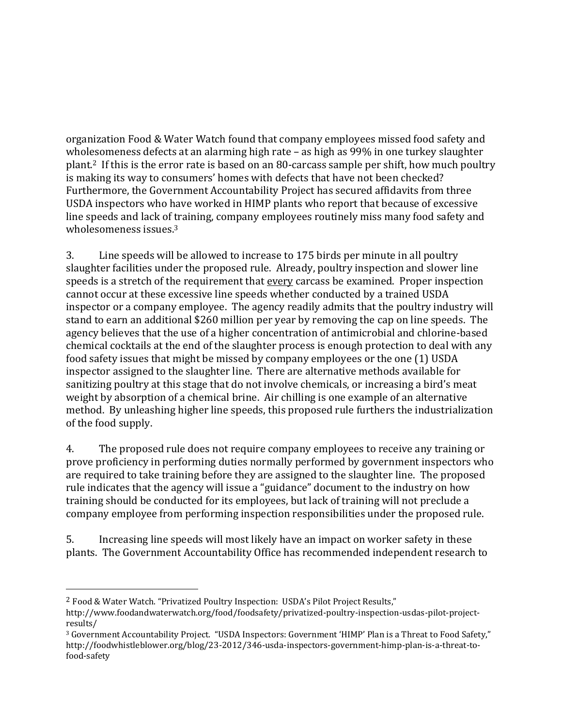organization Food & Water Watch found that company employees missed food safety and wholesomeness defects at an alarming high rate – as high as 99% in one turkey slaughter plant.2 If this is the error rate is based on an 80-carcass sample per shift, how much poultry is making its way to consumers' homes with defects that have not been checked? Furthermore, the Government Accountability Project has secured affidavits from three USDA inspectors who have worked in HIMP plants who report that because of excessive line speeds and lack of training, company employees routinely miss many food safety and wholesomeness issues.<sup>3</sup>

3. Line speeds will be allowed to increase to 175 birds per minute in all poultry slaughter facilities under the proposed rule. Already, poultry inspection and slower line speeds is a stretch of the requirement that every carcass be examined. Proper inspection cannot occur at these excessive line speeds whether conducted by a trained USDA inspector or a company employee. The agency readily admits that the poultry industry will stand to earn an additional \$260 million per year by removing the cap on line speeds. The agency believes that the use of a higher concentration of antimicrobial and chlorine-based chemical cocktails at the end of the slaughter process is enough protection to deal with any food safety issues that might be missed by company employees or the one (1) USDA inspector assigned to the slaughter line. There are alternative methods available for sanitizing poultry at this stage that do not involve chemicals, or increasing a bird's meat weight by absorption of a chemical brine. Air chilling is one example of an alternative method. By unleashing higher line speeds, this proposed rule furthers the industrialization of the food supply.

4. The proposed rule does not require company employees to receive any training or prove proficiency in performing duties normally performed by government inspectors who are required to take training before they are assigned to the slaughter line. The proposed rule indicates that the agency will issue a "guidance" document to the industry on how training should be conducted for its employees, but lack of training will not preclude a company employee from performing inspection responsibilities under the proposed rule.

5. Increasing line speeds will most likely have an impact on worker safety in these plants. The Government Accountability Office has recommended independent research to

 $\overline{a}$ 

<sup>2</sup> Food & Water Watch. "Privatized Poultry Inspection: USDA's Pilot Project Results,"

http://www.foodandwaterwatch.org/food/foodsafety/privatized-poultry-inspection-usdas-pilot-projectresults/

<sup>3</sup> Government Accountability Project. "USDA Inspectors: Government 'HIMP' Plan is a Threat to Food Safety," http://foodwhistleblower.org/blog/23-2012/346-usda-inspectors-government-himp-plan-is-a-threat-tofood-safety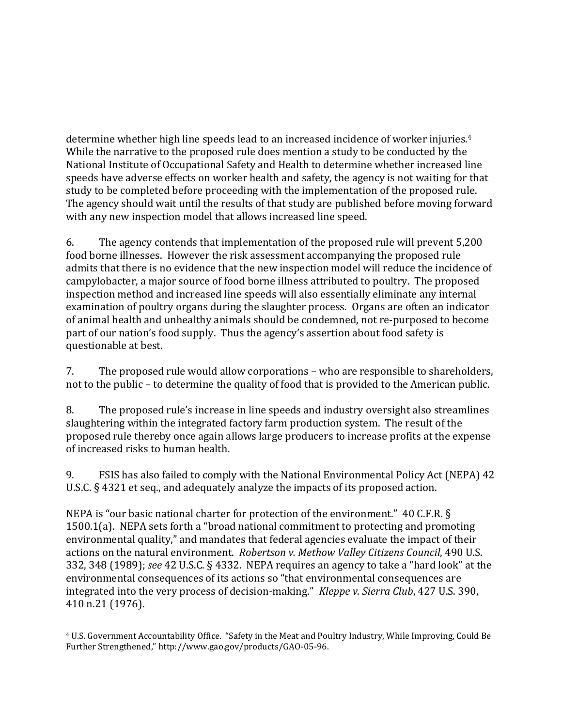determine whether high line speeds lead to an increased incidence of worker injuries.<sup>4</sup> While the narrative to the proposed rule does mention a study to be conducted by the National Institute of Occupational Safety and Health to determine whether increased line speeds have adverse effects on worker health and safety, the agency is not waiting for that study to be completed before proceeding with the implementation of the proposed rule. The agency should wait until the results of that study are published before moving forward with any new inspection model that allows increased line speed.

6. The agency contends that implementation of the proposed rule will prevent 5,200 food borne illnesses. However the risk assessment accompanying the proposed rule admits that there is no evidence that the new inspection model will reduce the incidence of campylobacter, a major source of food borne illness attributed to poultry. The proposed inspection method and increased line speeds will also essentially eliminate any internal examination of poultry organs during the slaughter process. Organs are often an indicator of animal health and unhealthy animals should be condemned, not re-purposed to become part of our nation's food supply. Thus the agency's assertion about food safety is questionable at best.

7. The proposed rule would allow corporations – who are responsible to shareholders, not to the public – to determine the quality of food that is provided to the American public.

8. The proposed rule's increase in line speeds and industry oversight also streamlines slaughtering within the integrated factory farm production system. The result of the proposed rule thereby once again allows large producers to increase profits at the expense of increased risks to human health.

9. FSIS has also failed to comply with the National Environmental Policy Act (NEPA) 42 U.S.C. § 4321 et seq., and adequately analyze the impacts of its proposed action.

NEPA is "our basic national charter for protection of the environment." 40 C.F.R. § 1500.1(a). NEPA sets forth a "broad national commitment to protecting and promoting environmental quality," and mandates that federal agencies evaluate the impact of their actions on the natural environment. *Robertson v. Methow Valley Citizens Council*, 490 U.S. 332, 348 (1989); *see* 42 U.S.C. § 4332. NEPA requires an agency to take a "hard look" at the environmental consequences of its actions so "that environmental consequences are integrated into the very process of decision-making." *Kleppe v. Sierra Club*, 427 U.S. 390, 410 n.21 (1976).

 $\overline{a}$ 

<sup>4</sup> U.S. Government Accountability Office. "Safety in the Meat and Poultry Industry, While Improving, Could Be Further Strengthened," http://www.gao.gov/products/GAO-05-96.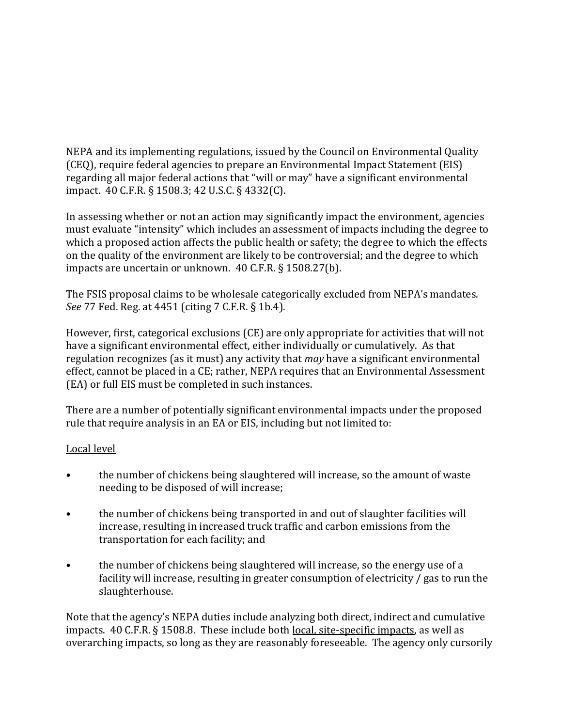NEPA and its implementing regulations, issued by the Council on Environmental Quality (CEQ), require federal agencies to prepare an Environmental Impact Statement (EIS) regarding all major federal actions that "will or may" have a significant environmental impact. 40 C.F.R. § 1508.3; 42 U.S.C. § 4332(C).

In assessing whether or not an action may significantly impact the environment, agencies must evaluate "intensity" which includes an assessment of impacts including the degree to which a proposed action affects the public health or safety; the degree to which the effects on the quality of the environment are likely to be controversial; and the degree to which impacts are uncertain or unknown. 40 C.F.R. § 1508.27(b).

The FSIS proposal claims to be wholesale categorically excluded from NEPA's mandates. *See* 77 Fed. Reg. at 4451 (citing 7 C.F.R. § 1b.4).

However, first, categorical exclusions (CE) are only appropriate for activities that will not have a significant environmental effect, either individually or cumulatively. As that regulation recognizes (as it must) any activity that *may* have a significant environmental effect, cannot be placed in a CE; rather, NEPA requires that an Environmental Assessment (EA) or full EIS must be completed in such instances.

There are a number of potentially significant environmental impacts under the proposed rule that require analysis in an EA or EIS, including but not limited to:

## Local level

- the number of chickens being slaughtered will increase, so the amount of waste needing to be disposed of will increase;
- the number of chickens being transported in and out of slaughter facilities will increase, resulting in increased truck traffic and carbon emissions from the transportation for each facility; and
- the number of chickens being slaughtered will increase, so the energy use of a facility will increase, resulting in greater consumption of electricity / gas to run the slaughterhouse.

Note that the agency's NEPA duties include analyzing both direct, indirect and cumulative impacts. 40 C.F.R. § 1508.8. These include both local, site-specific impacts, as well as overarching impacts, so long as they are reasonably foreseeable. The agency only cursorily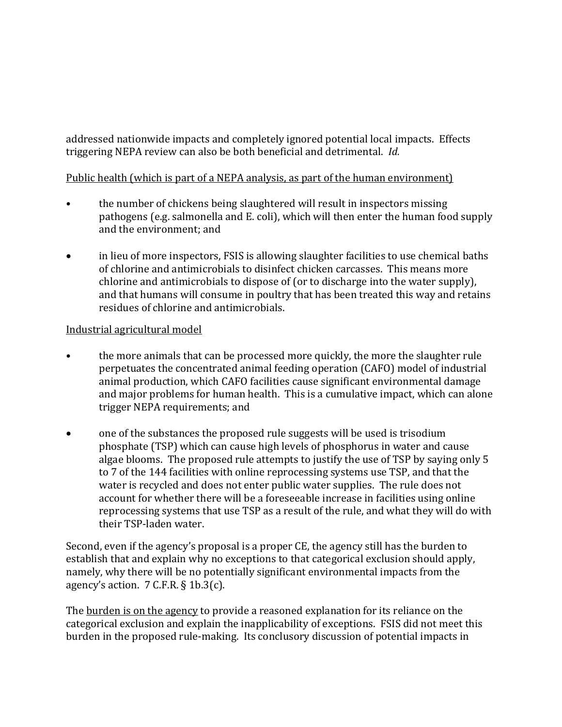addressed nationwide impacts and completely ignored potential local impacts. Effects triggering NEPA review can also be both beneficial and detrimental. *Id.*

## Public health (which is part of a NEPA analysis, as part of the human environment)

- the number of chickens being slaughtered will result in inspectors missing pathogens (e.g. salmonella and E. coli), which will then enter the human food supply and the environment; and
- in lieu of more inspectors, FSIS is allowing slaughter facilities to use chemical baths of chlorine and antimicrobials to disinfect chicken carcasses. This means more chlorine and antimicrobials to dispose of (or to discharge into the water supply), and that humans will consume in poultry that has been treated this way and retains residues of chlorine and antimicrobials.

## Industrial agricultural model

- the more animals that can be processed more quickly, the more the slaughter rule perpetuates the concentrated animal feeding operation (CAFO) model of industrial animal production, which CAFO facilities cause significant environmental damage and major problems for human health. This is a cumulative impact, which can alone trigger NEPA requirements; and
- one of the substances the proposed rule suggests will be used is trisodium phosphate (TSP) which can cause high levels of phosphorus in water and cause algae blooms. The proposed rule attempts to justify the use of TSP by saying only 5 to 7 of the 144 facilities with online reprocessing systems use TSP, and that the water is recycled and does not enter public water supplies. The rule does not account for whether there will be a foreseeable increase in facilities using online reprocessing systems that use TSP as a result of the rule, and what they will do with their TSP-laden water.

Second, even if the agency's proposal is a proper CE, the agency still has the burden to establish that and explain why no exceptions to that categorical exclusion should apply, namely, why there will be no potentially significant environmental impacts from the agency's action.  $7$  C.F.R.  $\S$  1b.3(c).

The burden is on the agency to provide a reasoned explanation for its reliance on the categorical exclusion and explain the inapplicability of exceptions. FSIS did not meet this burden in the proposed rule-making. Its conclusory discussion of potential impacts in